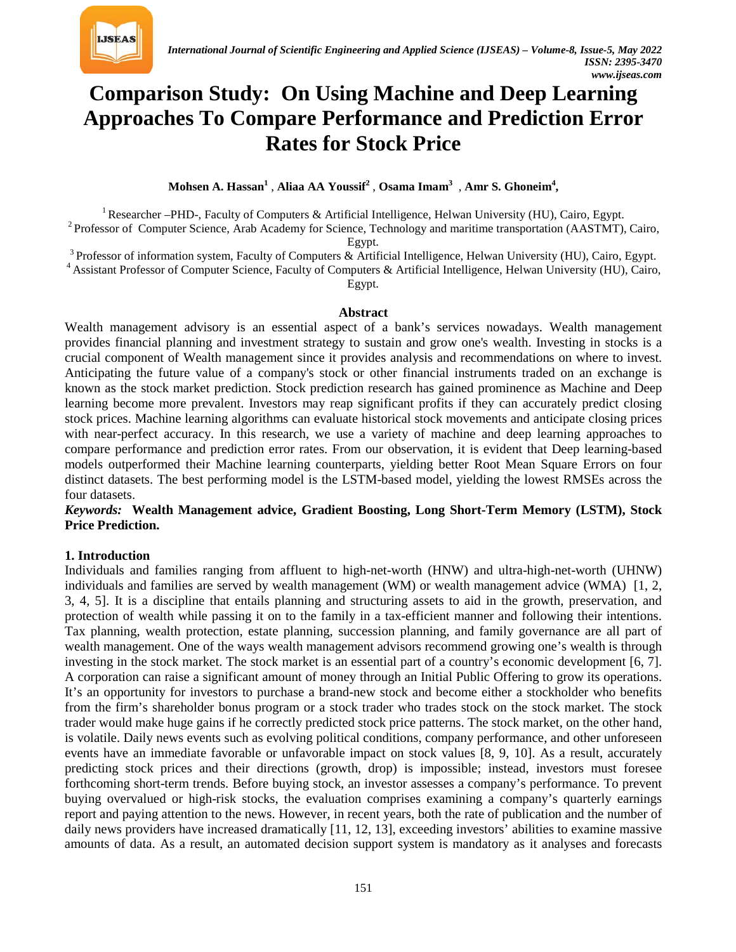

# **Comparison Study: On Using Machine and Deep Learning Approaches To Compare Performance and Prediction Error Rates for Stock Price**

 $\bf{M}$ ohsen A. Hassan $^1$  , Aliaa AA Youssif $^2$  , Osama Imam $^3$  , Amr S. Ghoneim $^4,$ 

<sup>1</sup> Researcher –PHD-, Faculty of Computers & Artificial Intelligence, Helwan University (HU), Cairo, Egypt. <sup>2</sup> Professor of Computer Science, Arab Academy for Science, Technology and maritime transportation (AASTMT), Cairo,

Egypt.

<sup>3</sup> Professor of information system, Faculty of Computers & Artificial Intelligence, Helwan University (HU), Cairo, Egypt.

<sup>4</sup> Assistant Professor of Computer Science, Faculty of Computers & Artificial Intelligence, Helwan University (HU), Cairo,

Egypt.

#### **Abstract**

Wealth management advisory is an essential aspect of a bank's services nowadays. Wealth management provides financial planning and investment strategy to sustain and grow one's wealth. Investing in stocks is a crucial component of Wealth management since it provides analysis and recommendations on where to invest. Anticipating the future value of a company's stock or other financial instruments traded on an exchange is known as the stock market prediction. Stock prediction research has gained prominence as Machine and Deep learning become more prevalent. Investors may reap significant profits if they can accurately predict closing stock prices. Machine learning algorithms can evaluate historical stock movements and anticipate closing prices with near-perfect accuracy. In this research, we use a variety of machine and deep learning approaches to compare performance and prediction error rates. From our observation, it is evident that Deep learning-based models outperformed their Machine learning counterparts, yielding better Root Mean Square Errors on four distinct datasets. The best performing model is the LSTM-based model, yielding the lowest RMSEs across the four datasets.

#### *Keywords:* **Wealth Management advice, Gradient Boosting, Long Short-Term Memory (LSTM), Stock Price Prediction.**

#### **1. Introduction**

Individuals and families ranging from affluent to high-net-worth (HNW) and ultra-high-net-worth (UHNW) individuals and families are served by wealth management (WM) or wealth management advice (WMA) [1, 2, 3, 4, 5]. It is a discipline that entails planning and structuring assets to aid in the growth, preservation, and protection of wealth while passing it on to the family in a tax-efficient manner and following their intentions. Tax planning, wealth protection, estate planning, succession planning, and family governance are all part of wealth management. One of the ways wealth management advisors recommend growing one's wealth is through investing in the stock market. The stock market is an essential part of a country's economic development [6, 7]. A corporation can raise a significant amount of money through an Initial Public Offering to grow its operations. It's an opportunity for investors to purchase a brand-new stock and become either a stockholder who benefits from the firm's shareholder bonus program or a stock trader who trades stock on the stock market. The stock trader would make huge gains if he correctly predicted stock price patterns. The stock market, on the other hand, is volatile. Daily news events such as evolving political conditions, company performance, and other unforeseen events have an immediate favorable or unfavorable impact on stock values [8, 9, 10]. As a result, accurately predicting stock prices and their directions (growth, drop) is impossible; instead, investors must foresee forthcoming short-term trends. Before buying stock, an investor assesses a company's performance. To prevent buying overvalued or high-risk stocks, the evaluation comprises examining a company's quarterly earnings report and paying attention to the news. However, in recent years, both the rate of publication and the number of daily news providers have increased dramatically [11, 12, 13], exceeding investors' abilities to examine massive amounts of data. As a result, an automated decision support system is mandatory as it analyses and forecasts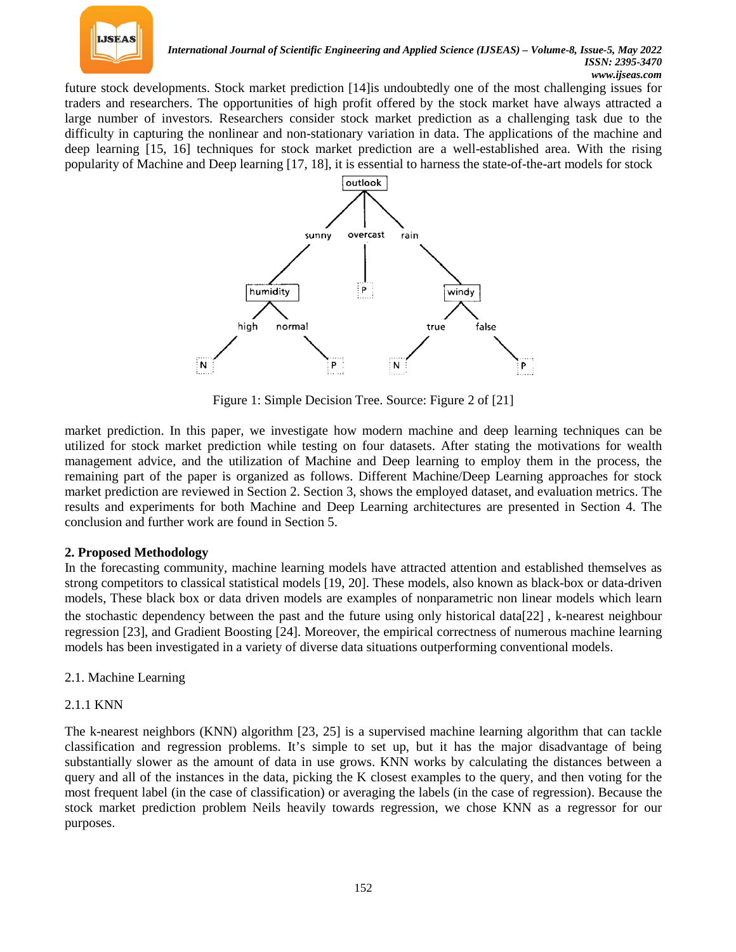

*International Journal of Scientific Engineering and Applied Science (IJSEAS) – Volume-8, Issue-5, May 2022 ISSN: 2395-3470 www.ijseas.com*

future stock developments. Stock market prediction [14]is undoubtedly one of the most challenging issues for traders and researchers. The opportunities of high profit offered by the stock market have always attracted a large number of investors. Researchers consider stock market prediction as a challenging task due to the difficulty in capturing the nonlinear and non-stationary variation in data. The applications of the machine and deep learning [15, 16] techniques for stock market prediction are a well-established area. With the rising popularity of Machine and Deep learning [17, 18], it is essential to harness the state-of-the-art models for stock



Figure 1: Simple Decision Tree. Source: Figure 2 of [21]

market prediction. In this paper, we investigate how modern machine and deep learning techniques can be utilized for stock market prediction while testing on four datasets. After stating the motivations for wealth management advice, and the utilization of Machine and Deep learning to employ them in the process, the remaining part of the paper is organized as follows. Different Machine/Deep Learning approaches for stock market prediction are reviewed in Section 2. Section 3, shows the employed dataset, and evaluation metrics. The results and experiments for both Machine and Deep Learning architectures are presented in Section 4. The conclusion and further work are found in Section 5.

#### **2. Proposed Methodology**

In the forecasting community, machine learning models have attracted attention and established themselves as strong competitors to classical statistical models [19, 20]. These models, also known as black-box or data-driven models, These black box or data driven models are examples of nonparametric non linear models which learn the stochastic dependency between the past and the future using only historical data[22] , k-nearest neighbour regression [23], and Gradient Boosting [24]. Moreover, the empirical correctness of numerous machine learning models has been investigated in a variety of diverse data situations outperforming conventional models.

#### 2.1. Machine Learning

#### 2.1.1 KNN

The k-nearest neighbors (KNN) algorithm [23, 25] is a supervised machine learning algorithm that can tackle classification and regression problems. It's simple to set up, but it has the major disadvantage of being substantially slower as the amount of data in use grows. KNN works by calculating the distances between a query and all of the instances in the data, picking the K closest examples to the query, and then voting for the most frequent label (in the case of classification) or averaging the labels (in the case of regression). Because the stock market prediction problem Neils heavily towards regression, we chose KNN as a regressor for our purposes.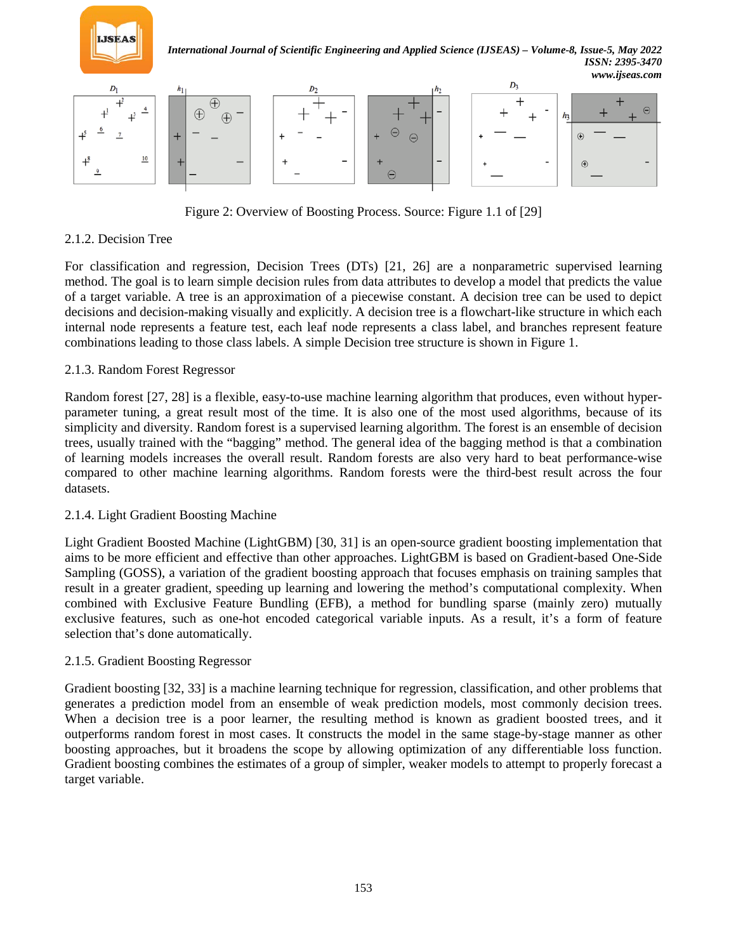

Figure 2: Overview of Boosting Process. Source: Figure 1.1 of [29]

# 2.1.2. Decision Tree

For classification and regression, Decision Trees (DTs) [21, 26] are a nonparametric supervised learning method. The goal is to learn simple decision rules from data attributes to develop a model that predicts the value of a target variable. A tree is an approximation of a piecewise constant. A decision tree can be used to depict decisions and decision-making visually and explicitly. A decision tree is a flowchart-like structure in which each internal node represents a feature test, each leaf node represents a class label, and branches represent feature combinations leading to those class labels. A simple Decision tree structure is shown in Figure 1.

# 2.1.3. Random Forest Regressor

Random forest [27, 28] is a flexible, easy-to-use machine learning algorithm that produces, even without hyperparameter tuning, a great result most of the time. It is also one of the most used algorithms, because of its simplicity and diversity. Random forest is a supervised learning algorithm. The forest is an ensemble of decision trees, usually trained with the "bagging" method. The general idea of the bagging method is that a combination of learning models increases the overall result. Random forests are also very hard to beat performance-wise compared to other machine learning algorithms. Random forests were the third-best result across the four datasets.

#### 2.1.4. Light Gradient Boosting Machine

Light Gradient Boosted Machine (LightGBM) [30, 31] is an open-source gradient boosting implementation that aims to be more efficient and effective than other approaches. LightGBM is based on Gradient-based One-Side Sampling (GOSS), a variation of the gradient boosting approach that focuses emphasis on training samples that result in a greater gradient, speeding up learning and lowering the method's computational complexity. When combined with Exclusive Feature Bundling (EFB), a method for bundling sparse (mainly zero) mutually exclusive features, such as one-hot encoded categorical variable inputs. As a result, it's a form of feature selection that's done automatically.

# 2.1.5. Gradient Boosting Regressor

Gradient boosting [32, 33] is a machine learning technique for regression, classification, and other problems that generates a prediction model from an ensemble of weak prediction models, most commonly decision trees. When a decision tree is a poor learner, the resulting method is known as gradient boosted trees, and it outperforms random forest in most cases. It constructs the model in the same stage-by-stage manner as other boosting approaches, but it broadens the scope by allowing optimization of any differentiable loss function. Gradient boosting combines the estimates of a group of simpler, weaker models to attempt to properly forecast a target variable.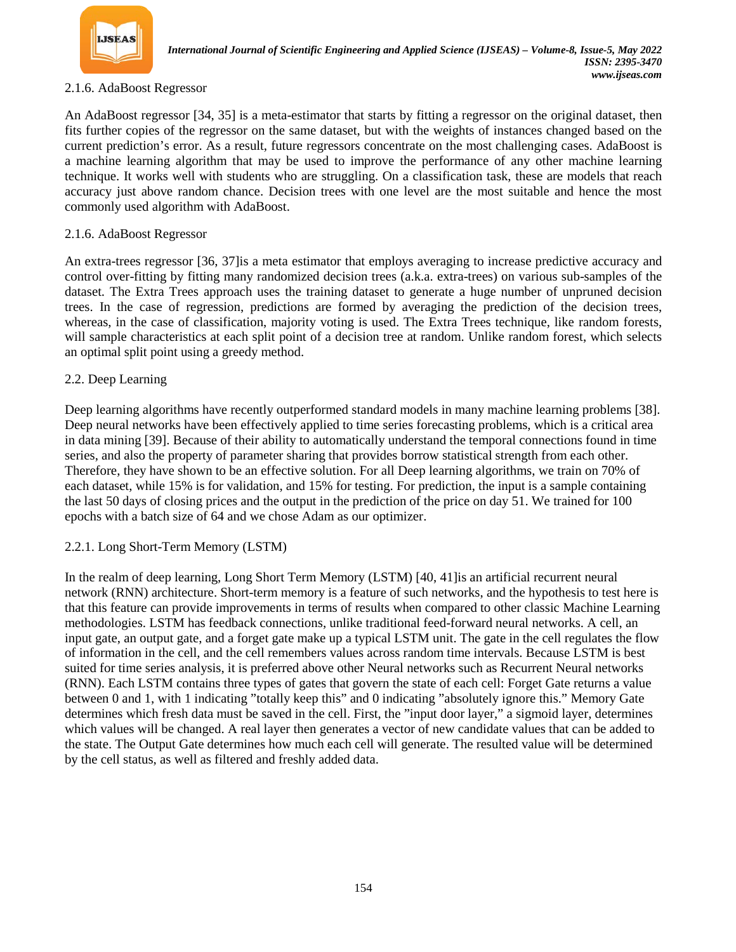

# 2.1.6. AdaBoost Regressor

An AdaBoost regressor [34, 35] is a meta-estimator that starts by fitting a regressor on the original dataset, then fits further copies of the regressor on the same dataset, but with the weights of instances changed based on the current prediction's error. As a result, future regressors concentrate on the most challenging cases. AdaBoost is a machine learning algorithm that may be used to improve the performance of any other machine learning technique. It works well with students who are struggling. On a classification task, these are models that reach accuracy just above random chance. Decision trees with one level are the most suitable and hence the most commonly used algorithm with AdaBoost.

#### 2.1.6. AdaBoost Regressor

An extra-trees regressor [36, 37]is a meta estimator that employs averaging to increase predictive accuracy and control over-fitting by fitting many randomized decision trees (a.k.a. extra-trees) on various sub-samples of the dataset. The Extra Trees approach uses the training dataset to generate a huge number of unpruned decision trees. In the case of regression, predictions are formed by averaging the prediction of the decision trees, whereas, in the case of classification, majority voting is used. The Extra Trees technique, like random forests, will sample characteristics at each split point of a decision tree at random. Unlike random forest, which selects an optimal split point using a greedy method.

#### 2.2. Deep Learning

Deep learning algorithms have recently outperformed standard models in many machine learning problems [38]. Deep neural networks have been effectively applied to time series forecasting problems, which is a critical area in data mining [39]. Because of their ability to automatically understand the temporal connections found in time series, and also the property of parameter sharing that provides borrow statistical strength from each other. Therefore, they have shown to be an effective solution. For all Deep learning algorithms, we train on 70% of each dataset, while 15% is for validation, and 15% for testing. For prediction, the input is a sample containing the last 50 days of closing prices and the output in the prediction of the price on day 51. We trained for 100 epochs with a batch size of 64 and we chose Adam as our optimizer.

#### 2.2.1. Long Short-Term Memory (LSTM)

In the realm of deep learning, Long Short Term Memory (LSTM) [40, 41]is an artificial recurrent neural network (RNN) architecture. Short-term memory is a feature of such networks, and the hypothesis to test here is that this feature can provide improvements in terms of results when compared to other classic Machine Learning methodologies. LSTM has feedback connections, unlike traditional feed-forward neural networks. A cell, an input gate, an output gate, and a forget gate make up a typical LSTM unit. The gate in the cell regulates the flow of information in the cell, and the cell remembers values across random time intervals. Because LSTM is best suited for time series analysis, it is preferred above other Neural networks such as Recurrent Neural networks (RNN). Each LSTM contains three types of gates that govern the state of each cell: Forget Gate returns a value between 0 and 1, with 1 indicating "totally keep this" and 0 indicating "absolutely ignore this." Memory Gate determines which fresh data must be saved in the cell. First, the "input door layer," a sigmoid layer, determines which values will be changed. A real layer then generates a vector of new candidate values that can be added to the state. The Output Gate determines how much each cell will generate. The resulted value will be determined by the cell status, as well as filtered and freshly added data.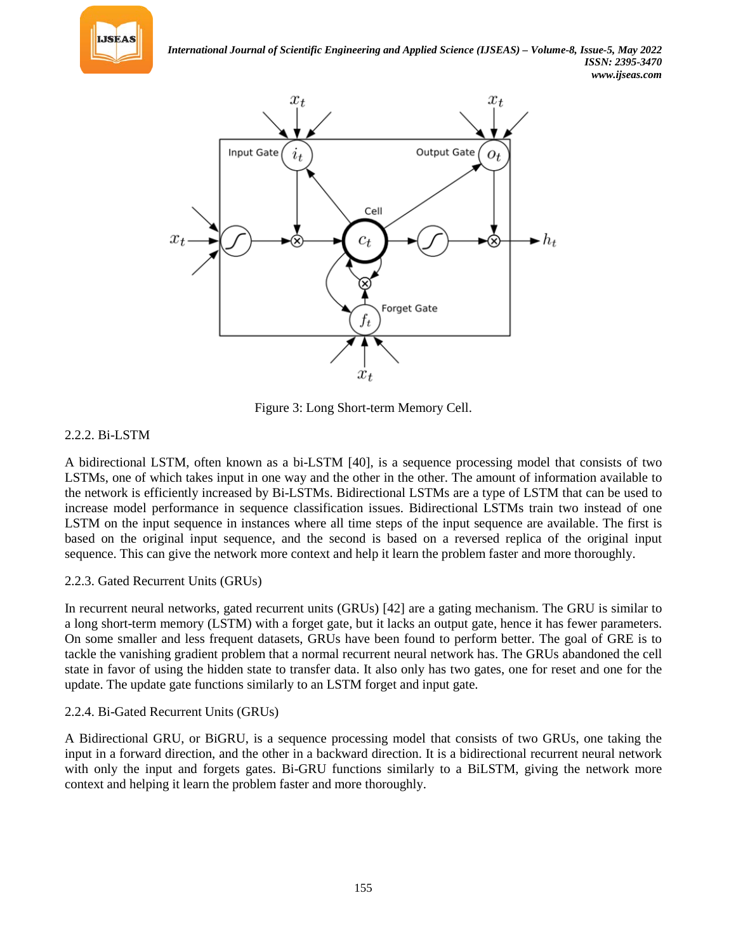



Figure 3: Long Short-term Memory Cell.

# 2.2.2. Bi-LSTM

A bidirectional LSTM, often known as a bi-LSTM [40], is a sequence processing model that consists of two LSTMs, one of which takes input in one way and the other in the other. The amount of information available to the network is efficiently increased by Bi-LSTMs. Bidirectional LSTMs are a type of LSTM that can be used to increase model performance in sequence classification issues. Bidirectional LSTMs train two instead of one LSTM on the input sequence in instances where all time steps of the input sequence are available. The first is based on the original input sequence, and the second is based on a reversed replica of the original input sequence. This can give the network more context and help it learn the problem faster and more thoroughly.

#### 2.2.3. Gated Recurrent Units (GRUs)

In recurrent neural networks, gated recurrent units (GRUs) [42] are a gating mechanism. The GRU is similar to a long short-term memory (LSTM) with a forget gate, but it lacks an output gate, hence it has fewer parameters. On some smaller and less frequent datasets, GRUs have been found to perform better. The goal of GRE is to tackle the vanishing gradient problem that a normal recurrent neural network has. The GRUs abandoned the cell state in favor of using the hidden state to transfer data. It also only has two gates, one for reset and one for the update. The update gate functions similarly to an LSTM forget and input gate.

#### 2.2.4. Bi-Gated Recurrent Units (GRUs)

A Bidirectional GRU, or BiGRU, is a sequence processing model that consists of two GRUs, one taking the input in a forward direction, and the other in a backward direction. It is a bidirectional recurrent neural network with only the input and forgets gates. Bi-GRU functions similarly to a BiLSTM, giving the network more context and helping it learn the problem faster and more thoroughly.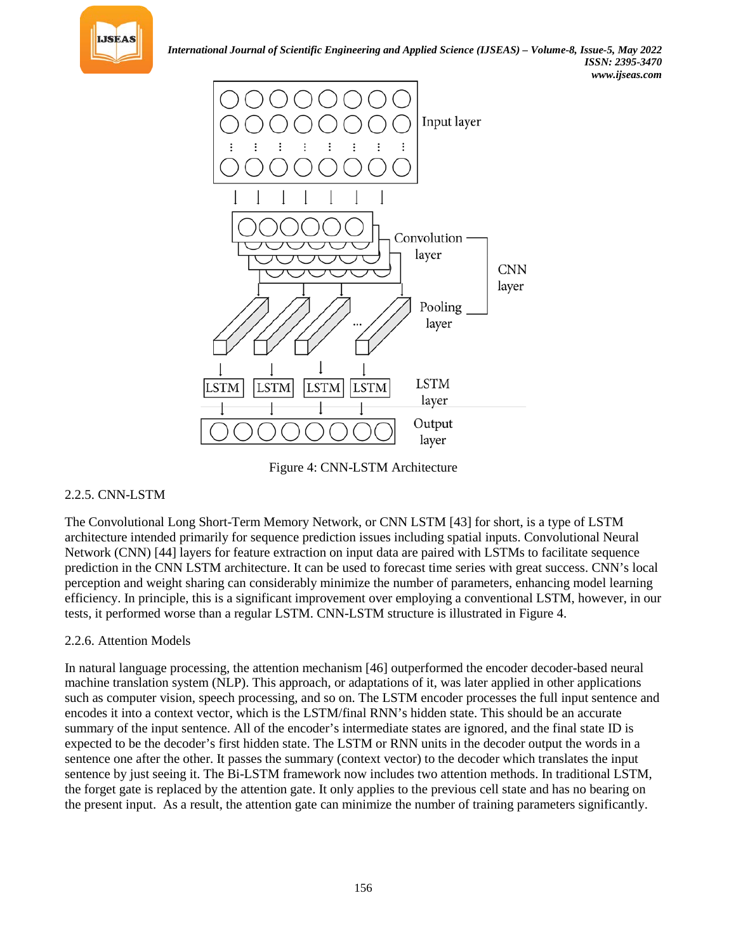



Figure 4: CNN-LSTM Architecture

# 2.2.5. CNN-LSTM

The Convolutional Long Short-Term Memory Network, or CNN LSTM [43] for short, is a type of LSTM architecture intended primarily for sequence prediction issues including spatial inputs. Convolutional Neural Network (CNN) [44] layers for feature extraction on input data are paired with LSTMs to facilitate sequence prediction in the CNN LSTM architecture. It can be used to forecast time series with great success. CNN's local perception and weight sharing can considerably minimize the number of parameters, enhancing model learning efficiency. In principle, this is a significant improvement over employing a conventional LSTM, however, in our tests, it performed worse than a regular LSTM. CNN-LSTM structure is illustrated in Figure 4.

# 2.2.6. Attention Models

In natural language processing, the attention mechanism [46] outperformed the encoder decoder-based neural machine translation system (NLP). This approach, or adaptations of it, was later applied in other applications such as computer vision, speech processing, and so on. The LSTM encoder processes the full input sentence and encodes it into a context vector, which is the LSTM/final RNN's hidden state. This should be an accurate summary of the input sentence. All of the encoder's intermediate states are ignored, and the final state ID is expected to be the decoder's first hidden state. The LSTM or RNN units in the decoder output the words in a sentence one after the other. It passes the summary (context vector) to the decoder which translates the input sentence by just seeing it. The Bi-LSTM framework now includes two attention methods. In traditional LSTM, the forget gate is replaced by the attention gate. It only applies to the previous cell state and has no bearing on the present input. As a result, the attention gate can minimize the number of training parameters significantly.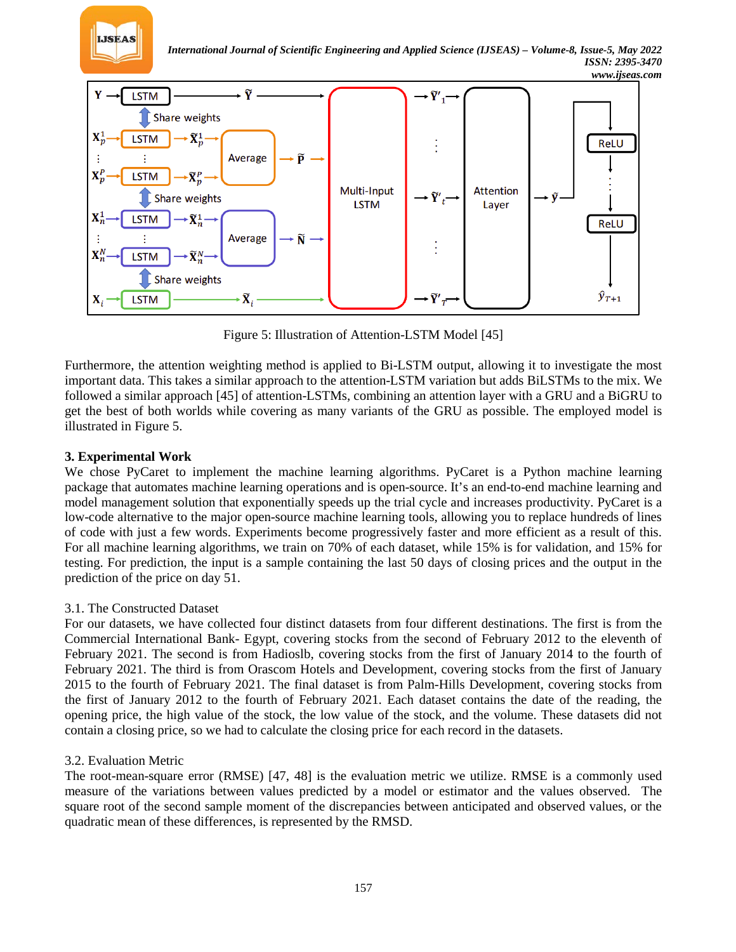



Figure 5: Illustration of Attention-LSTM Model [45]

Furthermore, the attention weighting method is applied to Bi-LSTM output, allowing it to investigate the most important data. This takes a similar approach to the attention-LSTM variation but adds BiLSTMs to the mix. We followed a similar approach [45] of attention-LSTMs, combining an attention layer with a GRU and a BiGRU to get the best of both worlds while covering as many variants of the GRU as possible. The employed model is illustrated in Figure 5.

# **3. Experimental Work**

We chose PyCaret to implement the machine learning algorithms. PyCaret is a Python machine learning package that automates machine learning operations and is open-source. It's an end-to-end machine learning and model management solution that exponentially speeds up the trial cycle and increases productivity. PyCaret is a low-code alternative to the major open-source machine learning tools, allowing you to replace hundreds of lines of code with just a few words. Experiments become progressively faster and more efficient as a result of this. For all machine learning algorithms, we train on 70% of each dataset, while 15% is for validation, and 15% for testing. For prediction, the input is a sample containing the last 50 days of closing prices and the output in the prediction of the price on day 51.

#### 3.1. The Constructed Dataset

For our datasets, we have collected four distinct datasets from four different destinations. The first is from the Commercial International Bank- Egypt, covering stocks from the second of February 2012 to the eleventh of February 2021. The second is from Hadioslb, covering stocks from the first of January 2014 to the fourth of February 2021. The third is from Orascom Hotels and Development, covering stocks from the first of January 2015 to the fourth of February 2021. The final dataset is from Palm-Hills Development, covering stocks from the first of January 2012 to the fourth of February 2021. Each dataset contains the date of the reading, the opening price, the high value of the stock, the low value of the stock, and the volume. These datasets did not contain a closing price, so we had to calculate the closing price for each record in the datasets.

#### 3.2. Evaluation Metric

The root-mean-square error (RMSE) [47, 48] is the evaluation metric we utilize. RMSE is a commonly used measure of the variations between values predicted by a model or estimator and the values observed. The square root of the second sample moment of the discrepancies between anticipated and observed values, or the quadratic mean of these differences, is represented by the RMSD.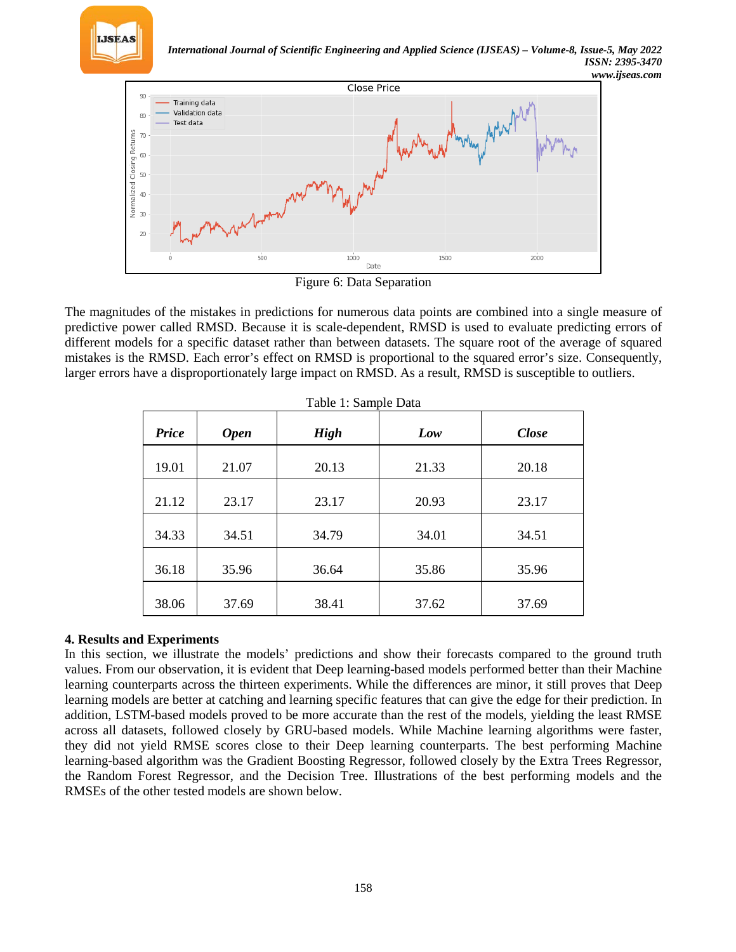



Figure 6: Data Separation

The magnitudes of the mistakes in predictions for numerous data points are combined into a single measure of predictive power called RMSD. Because it is scale-dependent, RMSD is used to evaluate predicting errors of different models for a specific dataset rather than between datasets. The square root of the average of squared mistakes is the RMSD. Each error's effect on RMSD is proportional to the squared error's size. Consequently, larger errors have a disproportionately large impact on RMSD. As a result, RMSD is susceptible to outliers.

| <b>Price</b> | <b>Open</b> | <b>High</b> | Low   | <b>Close</b> |  |
|--------------|-------------|-------------|-------|--------------|--|
| 19.01        | 21.07       | 20.13       | 21.33 | 20.18        |  |
| 21.12        | 23.17       | 23.17       | 20.93 | 23.17        |  |
| 34.33        | 34.51       | 34.79       | 34.01 | 34.51        |  |
| 36.18        | 35.96       | 36.64       | 35.86 | 35.96        |  |
| 38.06        | 37.69       | 38.41       | 37.62 | 37.69        |  |

#### **4. Results and Experiments**

In this section, we illustrate the models' predictions and show their forecasts compared to the ground truth values. From our observation, it is evident that Deep learning-based models performed better than their Machine learning counterparts across the thirteen experiments. While the differences are minor, it still proves that Deep learning models are better at catching and learning specific features that can give the edge for their prediction. In addition, LSTM-based models proved to be more accurate than the rest of the models, yielding the least RMSE across all datasets, followed closely by GRU-based models. While Machine learning algorithms were faster, they did not yield RMSE scores close to their Deep learning counterparts. The best performing Machine learning-based algorithm was the Gradient Boosting Regressor, followed closely by the Extra Trees Regressor, the Random Forest Regressor, and the Decision Tree. Illustrations of the best performing models and the RMSEs of the other tested models are shown below.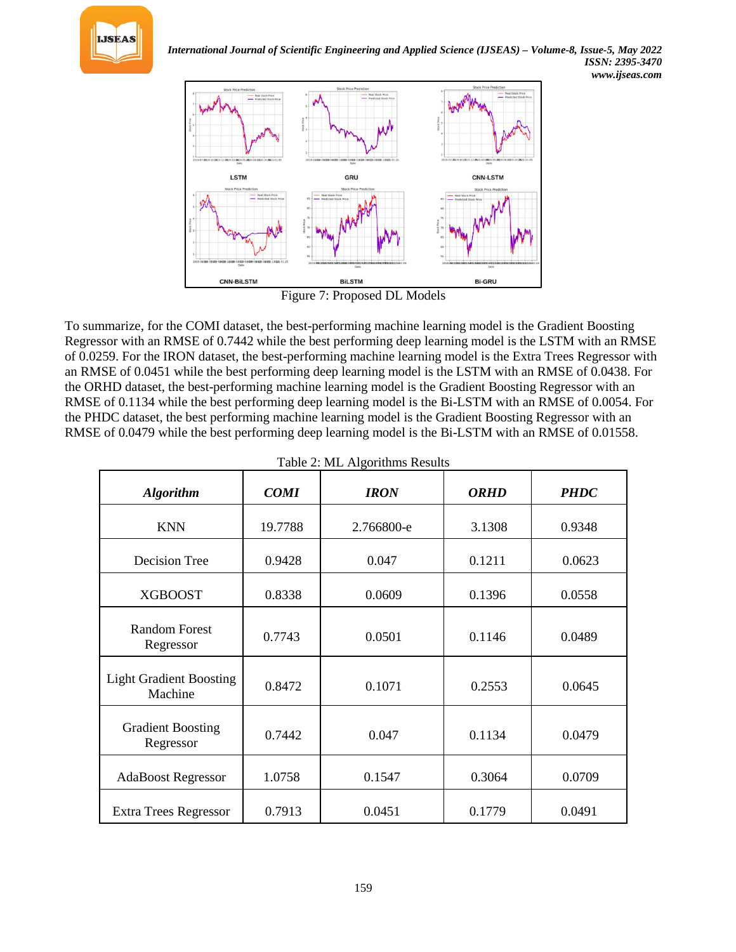

*International Journal of Scientific Engineering and Applied Science (IJSEAS) – Volume-8, Issue-5, May 2022 ISSN: 2395-3470 www.ijseas.com*



Figure 7: Proposed DL Models

To summarize, for the COMI dataset, the best-performing machine learning model is the Gradient Boosting Regressor with an RMSE of 0.7442 while the best performing deep learning model is the LSTM with an RMSE of 0.0259. For the IRON dataset, the best-performing machine learning model is the Extra Trees Regressor with an RMSE of 0.0451 while the best performing deep learning model is the LSTM with an RMSE of 0.0438. For the ORHD dataset, the best-performing machine learning model is the Gradient Boosting Regressor with an RMSE of 0.1134 while the best performing deep learning model is the Bi-LSTM with an RMSE of 0.0054. For the PHDC dataset, the best performing machine learning model is the Gradient Boosting Regressor with an RMSE of 0.0479 while the best performing deep learning model is the Bi-LSTM with an RMSE of 0.01558.

| <b>Algorithm</b>                          | <b>COMI</b> | <b>IRON</b> | <b>ORHD</b> | <b>PHDC</b> |
|-------------------------------------------|-------------|-------------|-------------|-------------|
| <b>KNN</b>                                | 19.7788     | 2.766800-e  | 3.1308      | 0.9348      |
| <b>Decision Tree</b>                      | 0.9428      | 0.047       | 0.1211      | 0.0623      |
| <b>XGBOOST</b>                            | 0.8338      | 0.0609      | 0.1396      | 0.0558      |
| <b>Random Forest</b><br>Regressor         | 0.7743      | 0.0501      | 0.1146      | 0.0489      |
| <b>Light Gradient Boosting</b><br>Machine | 0.8472      | 0.1071      | 0.2553      | 0.0645      |
| <b>Gradient Boosting</b><br>Regressor     | 0.7442      | 0.047       | 0.1134      | 0.0479      |
| <b>AdaBoost Regressor</b>                 | 1.0758      | 0.1547      | 0.3064      | 0.0709      |
| <b>Extra Trees Regressor</b>              | 0.7913      | 0.0451      | 0.1779      | 0.0491      |

|  | Table 2: ML Algorithms Results |  |
|--|--------------------------------|--|
|--|--------------------------------|--|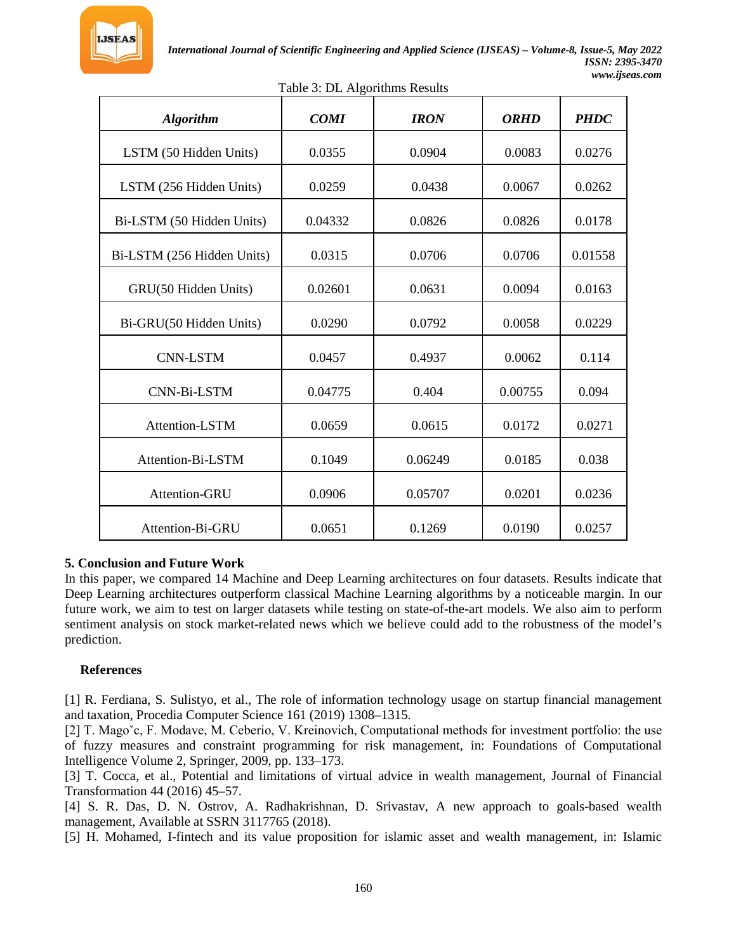

| <b>Algorithm</b>           | <b>COMI</b> | <b>IRON</b> | <b>ORHD</b> | <b>PHDC</b> |
|----------------------------|-------------|-------------|-------------|-------------|
| LSTM (50 Hidden Units)     | 0.0355      | 0.0904      | 0.0083      | 0.0276      |
| LSTM (256 Hidden Units)    | 0.0259      | 0.0438      | 0.0067      | 0.0262      |
| Bi-LSTM (50 Hidden Units)  | 0.04332     | 0.0826      | 0.0826      | 0.0178      |
| Bi-LSTM (256 Hidden Units) | 0.0315      | 0.0706      | 0.0706      | 0.01558     |
| GRU(50 Hidden Units)       | 0.02601     | 0.0631      | 0.0094      | 0.0163      |
| Bi-GRU(50 Hidden Units)    | 0.0290      | 0.0792      | 0.0058      | 0.0229      |
| <b>CNN-LSTM</b>            | 0.0457      | 0.4937      | 0.0062      | 0.114       |
| CNN-Bi-LSTM                | 0.04775     | 0.404       | 0.00755     | 0.094       |
| Attention-LSTM             | 0.0659      | 0.0615      | 0.0172      | 0.0271      |
| Attention-Bi-LSTM          | 0.1049      | 0.06249     | 0.0185      | 0.038       |
| Attention-GRU              | 0.0906      | 0.05707     | 0.0201      | 0.0236      |
| Attention-Bi-GRU           | 0.0651      | 0.1269      | 0.0190      | 0.0257      |

#### Table 3: DL Algorithms Results

# **5. Conclusion and Future Work**

In this paper, we compared 14 Machine and Deep Learning architectures on four datasets. Results indicate that Deep Learning architectures outperform classical Machine Learning algorithms by a noticeable margin. In our future work, we aim to test on larger datasets while testing on state-of-the-art models. We also aim to perform sentiment analysis on stock market-related news which we believe could add to the robustness of the model's prediction.

#### **References**

[1] R. Ferdiana, S. Sulistyo, et al., The role of information technology usage on startup financial management and taxation, Procedia Computer Science 161 (2019) 1308–1315.

[2] T. Mago<sup>\*</sup>c, F. Modave, M. Ceberio, V. Kreinovich, Computational methods for investment portfolio: the use of fuzzy measures and constraint programming for risk management, in: Foundations of Computational Intelligence Volume 2, Springer, 2009, pp. 133–173.

[3] T. Cocca, et al., Potential and limitations of virtual advice in wealth management, Journal of Financial Transformation 44 (2016) 45–57.

[4] S. R. Das, D. N. Ostrov, A. Radhakrishnan, D. Srivastav, A new approach to goals-based wealth management, Available at SSRN 3117765 (2018).

[5] H. Mohamed, I-fintech and its value proposition for islamic asset and wealth management, in: Islamic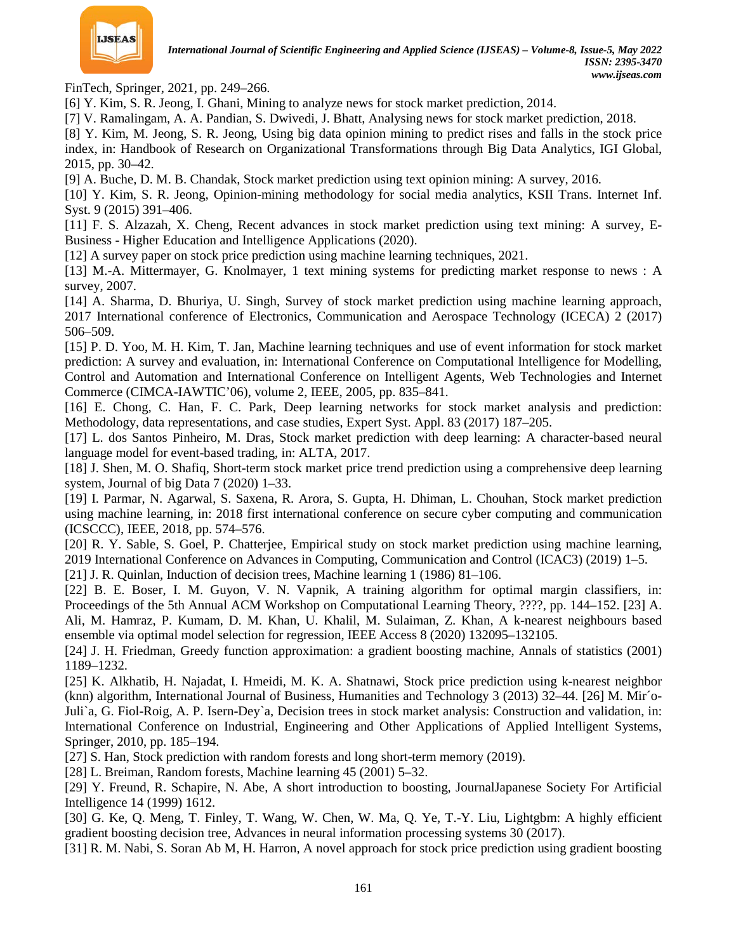

FinTech, Springer, 2021, pp. 249–266.

[6] Y. Kim, S. R. Jeong, I. Ghani, Mining to analyze news for stock market prediction, 2014.

[7] V. Ramalingam, A. A. Pandian, S. Dwivedi, J. Bhatt, Analysing news for stock market prediction, 2018.

[8] Y. Kim, M. Jeong, S. R. Jeong, Using big data opinion mining to predict rises and falls in the stock price index, in: Handbook of Research on Organizational Transformations through Big Data Analytics, IGI Global, 2015, pp. 30–42.

[9] A. Buche, D. M. B. Chandak, Stock market prediction using text opinion mining: A survey, 2016.

[10] Y. Kim, S. R. Jeong, Opinion-mining methodology for social media analytics, KSII Trans. Internet Inf. Syst. 9 (2015) 391–406.

[11] F. S. Alzazah, X. Cheng, Recent advances in stock market prediction using text mining: A survey, E-Business - Higher Education and Intelligence Applications (2020).

[12] A survey paper on stock price prediction using machine learning techniques, 2021.

[13] M.-A. Mittermayer, G. Knolmayer, 1 text mining systems for predicting market response to news : A survey, 2007.

[14] A. Sharma, D. Bhuriya, U. Singh, Survey of stock market prediction using machine learning approach, 2017 International conference of Electronics, Communication and Aerospace Technology (ICECA) 2 (2017) 506–509.

[15] P. D. Yoo, M. H. Kim, T. Jan, Machine learning techniques and use of event information for stock market prediction: A survey and evaluation, in: International Conference on Computational Intelligence for Modelling, Control and Automation and International Conference on Intelligent Agents, Web Technologies and Internet Commerce (CIMCA-IAWTIC'06), volume 2, IEEE, 2005, pp. 835–841.

[16] E. Chong, C. Han, F. C. Park, Deep learning networks for stock market analysis and prediction: Methodology, data representations, and case studies, Expert Syst. Appl. 83 (2017) 187–205.

[17] L. dos Santos Pinheiro, M. Dras, Stock market prediction with deep learning: A character-based neural language model for event-based trading, in: ALTA, 2017.

[18] J. Shen, M. O. Shafiq, Short-term stock market price trend prediction using a comprehensive deep learning system, Journal of big Data 7 (2020) 1–33.

[19] I. Parmar, N. Agarwal, S. Saxena, R. Arora, S. Gupta, H. Dhiman, L. Chouhan, Stock market prediction using machine learning, in: 2018 first international conference on secure cyber computing and communication (ICSCCC), IEEE, 2018, pp. 574–576.

[20] R. Y. Sable, S. Goel, P. Chatterjee, Empirical study on stock market prediction using machine learning, 2019 International Conference on Advances in Computing, Communication and Control (ICAC3) (2019) 1–5.

[21] J. R. Quinlan, Induction of decision trees, Machine learning 1 (1986) 81–106.

[22] B. E. Boser, I. M. Guyon, V. N. Vapnik, A training algorithm for optimal margin classifiers, in: Proceedings of the 5th Annual ACM Workshop on Computational Learning Theory, ????, pp. 144–152. [23] A. Ali, M. Hamraz, P. Kumam, D. M. Khan, U. Khalil, M. Sulaiman, Z. Khan, A k-nearest neighbours based ensemble via optimal model selection for regression, IEEE Access 8 (2020) 132095–132105.

[24] J. H. Friedman, Greedy function approximation: a gradient boosting machine, Annals of statistics (2001) 1189–1232.

[25] K. Alkhatib, H. Najadat, I. Hmeidi, M. K. A. Shatnawi, Stock price prediction using k-nearest neighbor (knn) algorithm, International Journal of Business, Humanities and Technology 3 (2013) 32–44. [26] M. Mir´o-Juli`a, G. Fiol-Roig, A. P. Isern-Dey`a, Decision trees in stock market analysis: Construction and validation, in: International Conference on Industrial, Engineering and Other Applications of Applied Intelligent Systems, Springer, 2010, pp. 185–194.

[27] S. Han, Stock prediction with random forests and long short-term memory (2019).

[28] L. Breiman, Random forests, Machine learning 45 (2001) 5–32.

[29] Y. Freund, R. Schapire, N. Abe, A short introduction to boosting, JournalJapanese Society For Artificial Intelligence 14 (1999) 1612.

[30] G. Ke, Q. Meng, T. Finley, T. Wang, W. Chen, W. Ma, Q. Ye, T.-Y. Liu, Lightgbm: A highly efficient gradient boosting decision tree, Advances in neural information processing systems 30 (2017).

[31] R. M. Nabi, S. Soran Ab M, H. Harron, A novel approach for stock price prediction using gradient boosting